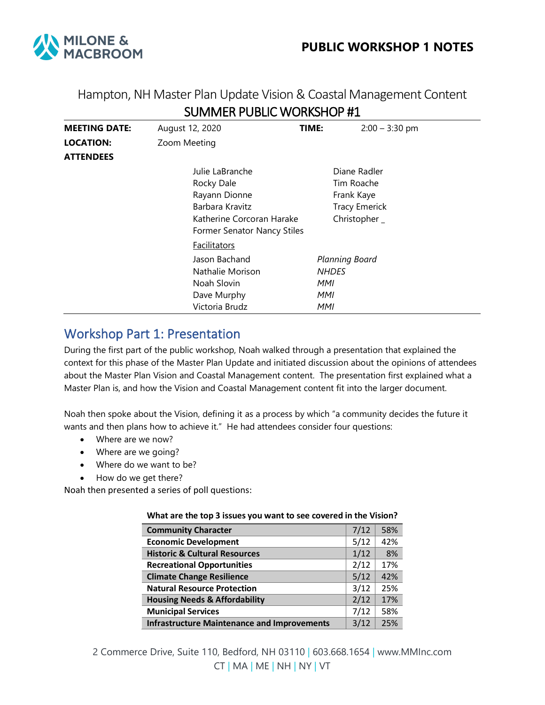

## Hampton, NH Master Plan Update Vision & Coastal Management Content SUMMER PUBLIC WORKSHOP #1

| <b>MEETING DATE:</b> | August 12, 2020             | TIME: | $2:00 - 3:30$ pm      |  |
|----------------------|-----------------------------|-------|-----------------------|--|
| <b>LOCATION:</b>     | Zoom Meeting                |       |                       |  |
| <b>ATTENDEES</b>     |                             |       |                       |  |
|                      | Julie LaBranche             |       | Diane Radler          |  |
|                      | Rocky Dale                  |       | Tim Roache            |  |
|                      | Rayann Dionne               |       | Frank Kaye            |  |
|                      | Barbara Kravitz             |       | <b>Tracy Emerick</b>  |  |
|                      | Katherine Corcoran Harake   |       | Christopher _         |  |
|                      | Former Senator Nancy Stiles |       |                       |  |
|                      | <b>Facilitators</b>         |       |                       |  |
|                      | Jason Bachand               |       | <b>Planning Board</b> |  |
|                      | Nathalie Morison            |       | <b>NHDES</b>          |  |
|                      | Noah Slovin                 | MMI   |                       |  |
|                      | Dave Murphy                 | MMI   |                       |  |
|                      | Victoria Brudz              | MMI   |                       |  |

## Workshop Part 1: Presentation

During the first part of the public workshop, Noah walked through a presentation that explained the context for this phase of the Master Plan Update and initiated discussion about the opinions of attendees about the Master Plan Vision and Coastal Management content. The presentation first explained what a Master Plan is, and how the Vision and Coastal Management content fit into the larger document.

Noah then spoke about the Vision, defining it as a process by which "a community decides the future it wants and then plans how to achieve it." He had attendees consider four questions:

- Where are we now?
- Where are we going?
- Where do we want to be?
- How do we get there?

Noah then presented a series of poll questions:

| <u>WIRE ALL THE TOP 3 ISSUES YOU WANT TO SEE COVETED IN THE VISION:</u> |      |     |  |  |
|-------------------------------------------------------------------------|------|-----|--|--|
| <b>Community Character</b>                                              | 7/12 | 58% |  |  |
| <b>Economic Development</b>                                             | 5/12 | 42% |  |  |
| <b>Historic &amp; Cultural Resources</b>                                | 1/12 | 8%  |  |  |
| <b>Recreational Opportunities</b>                                       | 2/12 | 17% |  |  |
| <b>Climate Change Resilience</b>                                        | 5/12 | 42% |  |  |
| <b>Natural Resource Protection</b>                                      | 3/12 | 25% |  |  |
| <b>Housing Needs &amp; Affordability</b>                                | 2/12 | 17% |  |  |
| <b>Municipal Services</b>                                               | 7/12 | 58% |  |  |
| <b>Infrastructure Maintenance and Improvements</b>                      | 3/12 | 25% |  |  |

### **What are the top 3 issues you want to see covered in the Vision?**

2 Commerce Drive, Suite 110, Bedford, NH 03110 | 603.668.1654 | www.MMInc.com CT | MA | ME | NH | NY | VT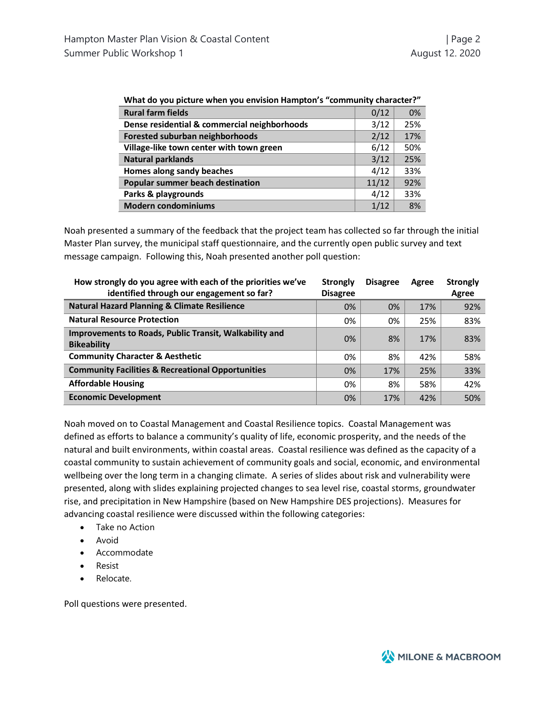| What do you picture when you envision Hampton's "community character?" |       |     |  |  |
|------------------------------------------------------------------------|-------|-----|--|--|
| <b>Rural farm fields</b>                                               | 0/12  | 0%  |  |  |
| Dense residential & commercial neighborhoods                           | 3/12  | 25% |  |  |
| Forested suburban neighborhoods                                        | 2/12  | 17% |  |  |
| Village-like town center with town green                               | 6/12  | 50% |  |  |
| <b>Natural parklands</b>                                               | 3/12  | 25% |  |  |
| Homes along sandy beaches                                              | 4/12  | 33% |  |  |
| Popular summer beach destination                                       | 11/12 | 92% |  |  |
| Parks & playgrounds                                                    | 4/12  | 33% |  |  |
| <b>Modern condominiums</b>                                             | 1/12  | 8%  |  |  |

| Village-like town center with town green | 6/12 | 50%    |
|------------------------------------------|------|--------|
| <b>Natural parklands</b>                 | 3/12 | 25%    |
| Thomas alama sandu baashaa               |      | ີ ລາຍ/ |

Noah presented a summary of the feedback that the project team has collected so far through the initial Master Plan survey, the municipal staff questionnaire, and the currently open public survey and text message campaign. Following this, Noah presented another poll question:

| How strongly do you agree with each of the priorities we've<br>identified through our engagement so far? | <b>Strongly</b><br><b>Disagree</b> | <b>Disagree</b> | Agree | <b>Strongly</b><br>Agree |
|----------------------------------------------------------------------------------------------------------|------------------------------------|-----------------|-------|--------------------------|
| <b>Natural Hazard Planning &amp; Climate Resilience</b>                                                  | 0%                                 | 0%              | 17%   | 92%                      |
| <b>Natural Resource Protection</b>                                                                       | 0%                                 | 0%              | 25%   | 83%                      |
| Improvements to Roads, Public Transit, Walkability and<br><b>Bikeability</b>                             | 0%                                 | 8%              | 17%   | 83%                      |
| <b>Community Character &amp; Aesthetic</b>                                                               | 0%                                 | 8%              | 42%   | 58%                      |
| <b>Community Facilities &amp; Recreational Opportunities</b>                                             | 0%                                 | 17%             | 25%   | 33%                      |
| <b>Affordable Housing</b>                                                                                | 0%                                 | 8%              | 58%   | 42%                      |
| <b>Economic Development</b>                                                                              | 0%                                 | 17%             | 42%   | 50%                      |

Noah moved on to Coastal Management and Coastal Resilience topics. Coastal Management was defined as efforts to balance a community's quality of life, economic prosperity, and the needs of the natural and built environments, within coastal areas. Coastal resilience was defined as the capacity of a coastal community to sustain achievement of community goals and social, economic, and environmental wellbeing over the long term in a changing climate. A series of slides about risk and vulnerability were presented, along with slides explaining projected changes to sea level rise, coastal storms, groundwater rise, and precipitation in New Hampshire (based on New Hampshire DES projections). Measures for advancing coastal resilience were discussed within the following categories:

- Take no Action
- Avoid
- Accommodate
- Resist
- Relocate.

Poll questions were presented.

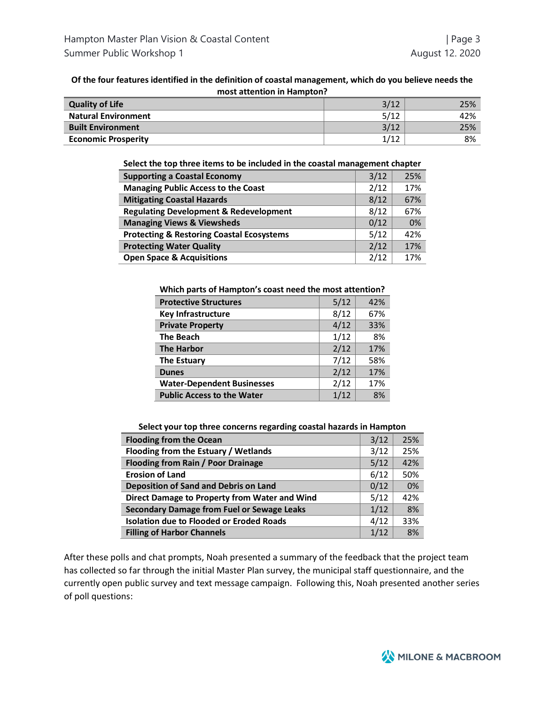### **Of the four features identified in the definition of coastal management, which do you believe needs the most attention in Hampton?**

| <b>Quality of Life</b>     | 3/12    | 25% |
|----------------------------|---------|-----|
| <b>Natural Environment</b> | 5/12    | 42% |
| <b>Built Environment</b>   | 3/12    | 25% |
| <b>Economic Prosperity</b> | 1 / 1 ว | 8%  |

#### **Select the top three items to be included in the coastal management chapter**

| <b>Supporting a Coastal Economy</b>                  | 3/12 | 25% |
|------------------------------------------------------|------|-----|
| <b>Managing Public Access to the Coast</b>           | 2/12 | 17% |
| <b>Mitigating Coastal Hazards</b>                    | 8/12 | 67% |
| <b>Regulating Development &amp; Redevelopment</b>    | 8/12 | 67% |
| <b>Managing Views &amp; Viewsheds</b>                | 0/12 | 0%  |
| <b>Protecting &amp; Restoring Coastal Ecosystems</b> | 5/12 | 42% |
| <b>Protecting Water Quality</b>                      | 2/12 | 17% |
| <b>Open Space &amp; Acquisitions</b>                 | 2/12 | 17% |

#### **Which parts of Hampton's coast need the most attention?**

| <b>Protective Structures</b>      | 5/12 | 42% |
|-----------------------------------|------|-----|
| <b>Key Infrastructure</b>         | 8/12 | 67% |
| <b>Private Property</b>           | 4/12 | 33% |
| <b>The Beach</b>                  | 1/12 | 8%  |
| <b>The Harbor</b>                 | 2/12 | 17% |
| <b>The Estuary</b>                | 7/12 | 58% |
| <b>Dunes</b>                      | 2/12 | 17% |
| <b>Water-Dependent Businesses</b> | 2/12 | 17% |
| <b>Public Access to the Water</b> | 1/12 | 8%  |

**Select your top three concerns regarding coastal hazards in Hampton**

| <b>Flooding from the Ocean</b>                    | 3/12 | 25% |
|---------------------------------------------------|------|-----|
| Flooding from the Estuary / Wetlands              | 3/12 | 25% |
| <b>Flooding from Rain / Poor Drainage</b>         | 5/12 | 42% |
| <b>Erosion of Land</b>                            | 6/12 | 50% |
| <b>Deposition of Sand and Debris on Land</b>      | 0/12 | 0%  |
| Direct Damage to Property from Water and Wind     | 5/12 | 42% |
| <b>Secondary Damage from Fuel or Sewage Leaks</b> | 1/12 | 8%  |
| <b>Isolation due to Flooded or Eroded Roads</b>   | 4/12 | 33% |
| <b>Filling of Harbor Channels</b>                 | 1/12 | 8%  |

After these polls and chat prompts, Noah presented a summary of the feedback that the project team has collected so far through the initial Master Plan survey, the municipal staff questionnaire, and the currently open public survey and text message campaign. Following this, Noah presented another series of poll questions:

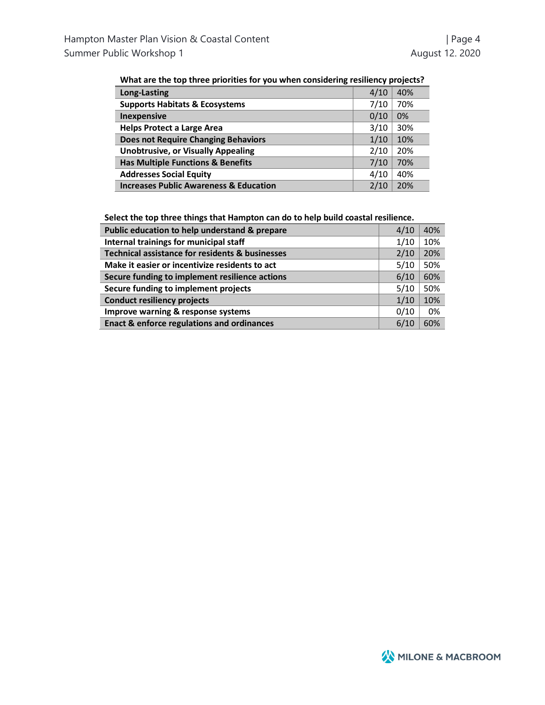| <b>Long-Lasting</b>                               | 4/10 | 40% |
|---------------------------------------------------|------|-----|
| <b>Supports Habitats &amp; Ecosystems</b>         | 7/10 | 70% |
| <b>Inexpensive</b>                                | 0/10 | 0%  |
| <b>Helps Protect a Large Area</b>                 | 3/10 | 30% |
| <b>Does not Require Changing Behaviors</b>        | 1/10 | 10% |
| <b>Unobtrusive, or Visually Appealing</b>         | 2/10 | 20% |
| <b>Has Multiple Functions &amp; Benefits</b>      | 7/10 | 70% |
| <b>Addresses Social Equity</b>                    | 4/10 | 40% |
| <b>Increases Public Awareness &amp; Education</b> | 2/10 | 20% |

**Select the top three things that Hampton can do to help build coastal resilience.**

| Public education to help understand & prepare         | 4/10 | 40% |
|-------------------------------------------------------|------|-----|
| Internal trainings for municipal staff                | 1/10 | 10% |
| Technical assistance for residents & businesses       | 2/10 | 20% |
| Make it easier or incentivize residents to act        | 5/10 | 50% |
| Secure funding to implement resilience actions        | 6/10 | 60% |
| Secure funding to implement projects                  | 5/10 | 50% |
| <b>Conduct resiliency projects</b>                    | 1/10 | 10% |
| Improve warning & response systems                    | 0/10 | 0%  |
| <b>Enact &amp; enforce regulations and ordinances</b> | 6/10 | 60% |

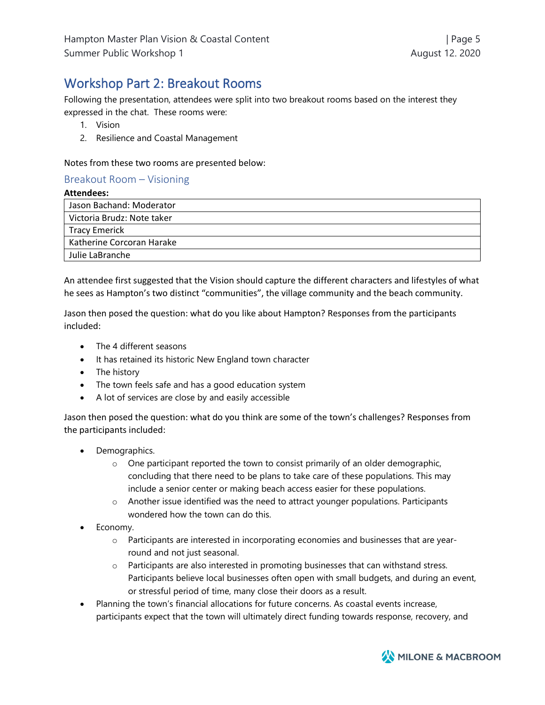# Workshop Part 2: Breakout Rooms

Following the presentation, attendees were split into two breakout rooms based on the interest they expressed in the chat. These rooms were:

- 1. Vision
- 2. Resilience and Coastal Management

### Notes from these two rooms are presented below:

### Breakout Room – Visioning

### **Attendees:**

| Jason Bachand: Moderator   |
|----------------------------|
| Victoria Brudz: Note taker |
| Tracy Emerick              |
| Katherine Corcoran Harake  |
| Julie LaBranche            |

An attendee first suggested that the Vision should capture the different characters and lifestyles of what he sees as Hampton's two distinct "communities", the village community and the beach community.

Jason then posed the question: what do you like about Hampton? Responses from the participants included:

- The 4 different seasons
- It has retained its historic New England town character
- The history
- The town feels safe and has a good education system
- A lot of services are close by and easily accessible

Jason then posed the question: what do you think are some of the town's challenges? Responses from the participants included:

- Demographics.
	- $\circ$  One participant reported the town to consist primarily of an older demographic, concluding that there need to be plans to take care of these populations. This may include a senior center or making beach access easier for these populations.
	- o Another issue identified was the need to attract younger populations. Participants wondered how the town can do this.
- Economy.
	- $\circ$  Participants are interested in incorporating economies and businesses that are yearround and not just seasonal.
	- $\circ$  Participants are also interested in promoting businesses that can withstand stress. Participants believe local businesses often open with small budgets, and during an event, or stressful period of time, many close their doors as a result.
- Planning the town's financial allocations for future concerns. As coastal events increase, participants expect that the town will ultimately direct funding towards response, recovery, and

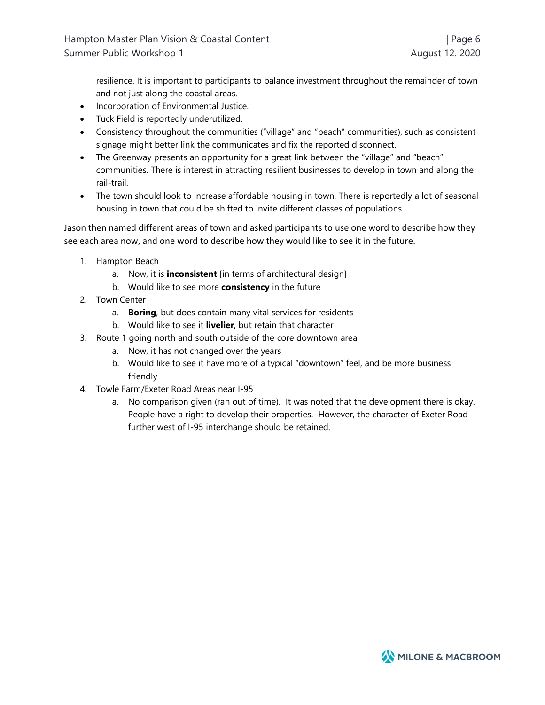resilience. It is important to participants to balance investment throughout the remainder of town and not just along the coastal areas.

- Incorporation of Environmental Justice.
- Tuck Field is reportedly underutilized.
- Consistency throughout the communities ("village" and "beach" communities), such as consistent signage might better link the communicates and fix the reported disconnect.
- The Greenway presents an opportunity for a great link between the "village" and "beach" communities. There is interest in attracting resilient businesses to develop in town and along the rail-trail.
- The town should look to increase affordable housing in town. There is reportedly a lot of seasonal housing in town that could be shifted to invite different classes of populations.

Jason then named different areas of town and asked participants to use one word to describe how they see each area now, and one word to describe how they would like to see it in the future.

- 1. Hampton Beach
	- a. Now, it is **inconsistent** [in terms of architectural design]
	- b. Would like to see more **consistency** in the future
- 2. Town Center
	- a. **Boring**, but does contain many vital services for residents
	- b. Would like to see it **livelier**, but retain that character
- 3. Route 1 going north and south outside of the core downtown area
	- a. Now, it has not changed over the years
	- b. Would like to see it have more of a typical "downtown" feel, and be more business friendly
- 4. Towle Farm/Exeter Road Areas near I-95
	- a. No comparison given (ran out of time). It was noted that the development there is okay. People have a right to develop their properties. However, the character of Exeter Road further west of I-95 interchange should be retained.

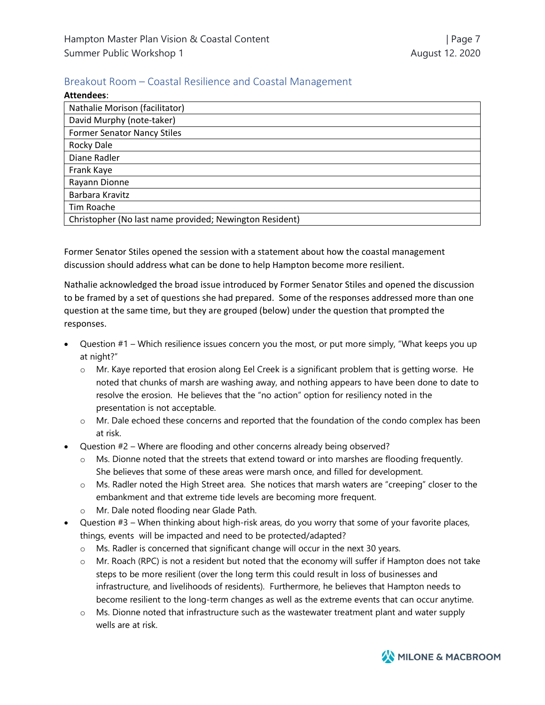## Breakout Room – Coastal Resilience and Coastal Management

| Attendees:                                              |
|---------------------------------------------------------|
| Nathalie Morison (facilitator)                          |
| David Murphy (note-taker)                               |
| <b>Former Senator Nancy Stiles</b>                      |
| Rocky Dale                                              |
| Diane Radler                                            |
| Frank Kaye                                              |
| Rayann Dionne                                           |
| Barbara Kravitz                                         |
| Tim Roache                                              |
| Christopher (No last name provided; Newington Resident) |

Former Senator Stiles opened the session with a statement about how the coastal management discussion should address what can be done to help Hampton become more resilient.

Nathalie acknowledged the broad issue introduced by Former Senator Stiles and opened the discussion to be framed by a set of questions she had prepared. Some of the responses addressed more than one question at the same time, but they are grouped (below) under the question that prompted the responses.

- Question #1 Which resilience issues concern you the most, or put more simply, "What keeps you up at night?"
	- o Mr. Kaye reported that erosion along Eel Creek is a significant problem that is getting worse. He noted that chunks of marsh are washing away, and nothing appears to have been done to date to resolve the erosion. He believes that the "no action" option for resiliency noted in the presentation is not acceptable.
	- o Mr. Dale echoed these concerns and reported that the foundation of the condo complex has been at risk.
- Question #2 Where are flooding and other concerns already being observed?
	- o Ms. Dionne noted that the streets that extend toward or into marshes are flooding frequently. She believes that some of these areas were marsh once, and filled for development.
	- o Ms. Radler noted the High Street area. She notices that marsh waters are "creeping" closer to the embankment and that extreme tide levels are becoming more frequent.
	- o Mr. Dale noted flooding near Glade Path.
- Question #3 When thinking about high-risk areas, do you worry that some of your favorite places, things, events will be impacted and need to be protected/adapted?
	- o Ms. Radler is concerned that significant change will occur in the next 30 years.
	- o Mr. Roach (RPC) is not a resident but noted that the economy will suffer if Hampton does not take steps to be more resilient (over the long term this could result in loss of businesses and infrastructure, and livelihoods of residents). Furthermore, he believes that Hampton needs to become resilient to the long-term changes as well as the extreme events that can occur anytime.
	- $\circ$  Ms. Dionne noted that infrastructure such as the wastewater treatment plant and water supply wells are at risk.

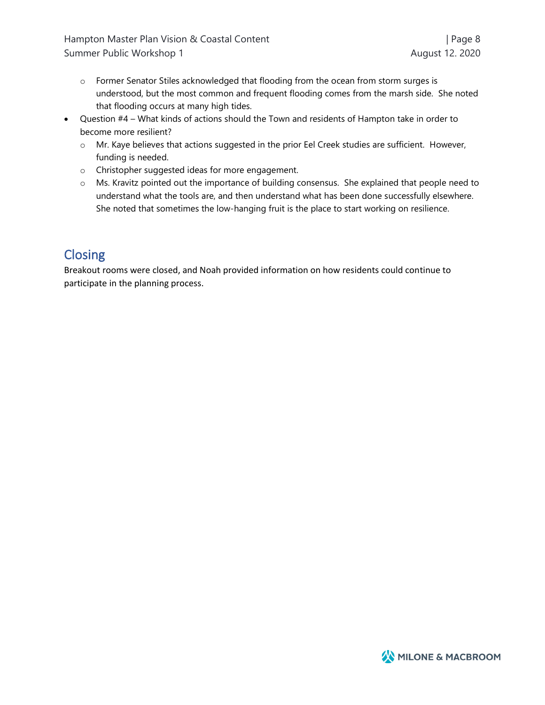Hampton Master Plan Vision & Coastal Content | Page 8 | Page 8 Summer Public Workshop 1 August 12. 2020

- $\circ$  Former Senator Stiles acknowledged that flooding from the ocean from storm surges is understood, but the most common and frequent flooding comes from the marsh side. She noted that flooding occurs at many high tides.
- Question #4 What kinds of actions should the Town and residents of Hampton take in order to become more resilient?
	- o Mr. Kaye believes that actions suggested in the prior Eel Creek studies are sufficient. However, funding is needed.
	- o Christopher suggested ideas for more engagement.
	- o Ms. Kravitz pointed out the importance of building consensus. She explained that people need to understand what the tools are, and then understand what has been done successfully elsewhere. She noted that sometimes the low-hanging fruit is the place to start working on resilience.

# **Closing**

Breakout rooms were closed, and Noah provided information on how residents could continue to participate in the planning process.

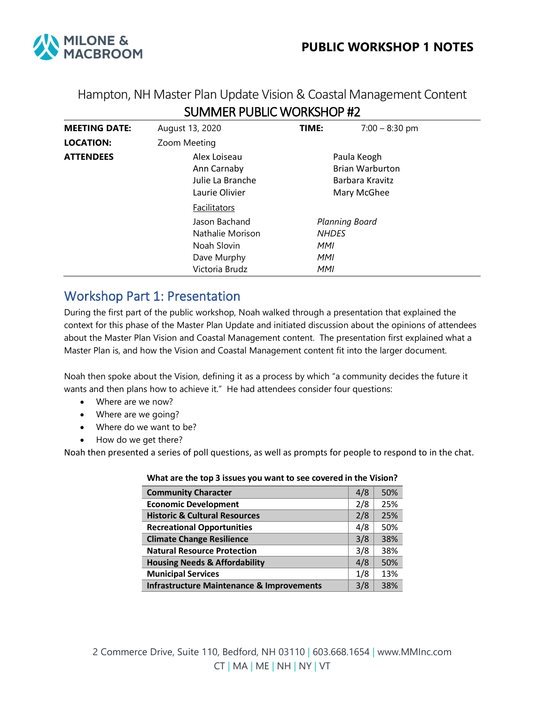

## Hampton, NH Master Plan Update Vision & Coastal Management Content SUMMER PUBLIC WORKSHOP #2

| <b>MEETING DATE:</b> | August 13, 2020                                                                   | TIME:                                                                   | $7:00 - 8:30$ pm |  |
|----------------------|-----------------------------------------------------------------------------------|-------------------------------------------------------------------------|------------------|--|
| <b>LOCATION:</b>     | Zoom Meeting                                                                      |                                                                         |                  |  |
| <b>ATTENDEES</b>     | Alex Loiseau<br>Ann Carnaby<br>Julie La Branche<br>Laurie Olivier                 | Paula Keogh<br><b>Brian Warburton</b><br>Barbara Kravitz<br>Mary McGhee |                  |  |
|                      | Facilitators                                                                      |                                                                         |                  |  |
|                      | Jason Bachand<br>Nathalie Morison<br>Noah Slovin<br>Dave Murphy<br>Victoria Brudz | Planning Board<br><b>NHDES</b><br>MMI<br>MMI<br>MMI                     |                  |  |

## Workshop Part 1: Presentation

During the first part of the public workshop, Noah walked through a presentation that explained the context for this phase of the Master Plan Update and initiated discussion about the opinions of attendees about the Master Plan Vision and Coastal Management content. The presentation first explained what a Master Plan is, and how the Vision and Coastal Management content fit into the larger document.

Noah then spoke about the Vision, defining it as a process by which "a community decides the future it wants and then plans how to achieve it." He had attendees consider four questions:

- Where are we now?
- Where are we going?
- Where do we want to be?
- How do we get there?

Noah then presented a series of poll questions, as well as prompts for people to respond to in the chat.

| <b>Community Character</b>                           | 4/8 | 50% |
|------------------------------------------------------|-----|-----|
| <b>Economic Development</b>                          | 2/8 | 25% |
| <b>Historic &amp; Cultural Resources</b>             | 2/8 | 25% |
| <b>Recreational Opportunities</b>                    | 4/8 | 50% |
| <b>Climate Change Resilience</b>                     | 3/8 | 38% |
| <b>Natural Resource Protection</b>                   | 3/8 | 38% |
| <b>Housing Needs &amp; Affordability</b>             | 4/8 | 50% |
| <b>Municipal Services</b>                            | 1/8 | 13% |
| <b>Infrastructure Maintenance &amp; Improvements</b> | 3/8 | 38% |

### **What are the top 3 issues you want to see covered in the Vision?**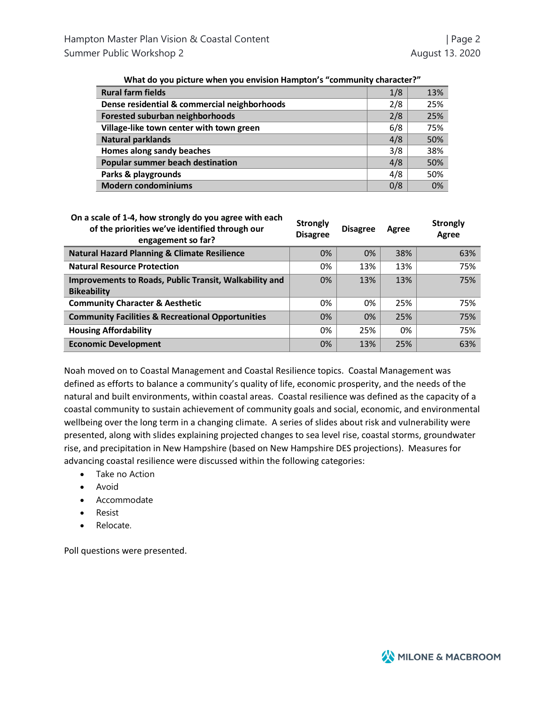| <b>Rural farm fields</b>                     | 1/8 | 13% |
|----------------------------------------------|-----|-----|
| Dense residential & commercial neighborhoods | 2/8 | 25% |
| Forested suburban neighborhoods              | 2/8 | 25% |
| Village-like town center with town green     | 6/8 | 75% |
| <b>Natural parklands</b>                     | 4/8 | 50% |
| Homes along sandy beaches                    | 3/8 | 38% |
| Popular summer beach destination             | 4/8 | 50% |
| Parks & playgrounds                          | 4/8 | 50% |
| <b>Modern condominiums</b>                   | 0/8 | 0%  |

| What do you picture when you envision Hampton's "community character?" |  |  |
|------------------------------------------------------------------------|--|--|
|------------------------------------------------------------------------|--|--|

| On a scale of 1-4, how strongly do you agree with each | Str |
|--------------------------------------------------------|-----|
| of the priorities we've identified through our         |     |

| On a scale of 1-4, now strongly do you agree with each<br>of the priorities we've identified through our<br>engagement so far? | <b>Strongly</b><br><b>Disagree</b> | <b>Disagree</b> | Agree | <b>Strongly</b><br>Agree |
|--------------------------------------------------------------------------------------------------------------------------------|------------------------------------|-----------------|-------|--------------------------|
| <b>Natural Hazard Planning &amp; Climate Resilience</b>                                                                        | 0%                                 | 0%              | 38%   | 63%                      |
| <b>Natural Resource Protection</b>                                                                                             | 0%                                 | 13%             | 13%   | 75%                      |
| Improvements to Roads, Public Transit, Walkability and<br><b>Bikeability</b>                                                   | 0%                                 | 13%             | 13%   | 75%                      |
| <b>Community Character &amp; Aesthetic</b>                                                                                     | 0%                                 | 0%              | 25%   | 75%                      |
| <b>Community Facilities &amp; Recreational Opportunities</b>                                                                   | 0%                                 | 0%              | 25%   | 75%                      |
| <b>Housing Affordability</b>                                                                                                   | 0%                                 | 25%             | 0%    | 75%                      |
| <b>Economic Development</b>                                                                                                    | 0%                                 | 13%             | 25%   | 63%                      |

Noah moved on to Coastal Management and Coastal Resilience topics. Coastal Management was defined as efforts to balance a community's quality of life, economic prosperity, and the needs of the natural and built environments, within coastal areas. Coastal resilience was defined as the capacity of a coastal community to sustain achievement of community goals and social, economic, and environmental wellbeing over the long term in a changing climate. A series of slides about risk and vulnerability were presented, along with slides explaining projected changes to sea level rise, coastal storms, groundwater rise, and precipitation in New Hampshire (based on New Hampshire DES projections). Measures for advancing coastal resilience were discussed within the following categories:

- Take no Action
- Avoid
- Accommodate
- Resist
- Relocate.

Poll questions were presented.

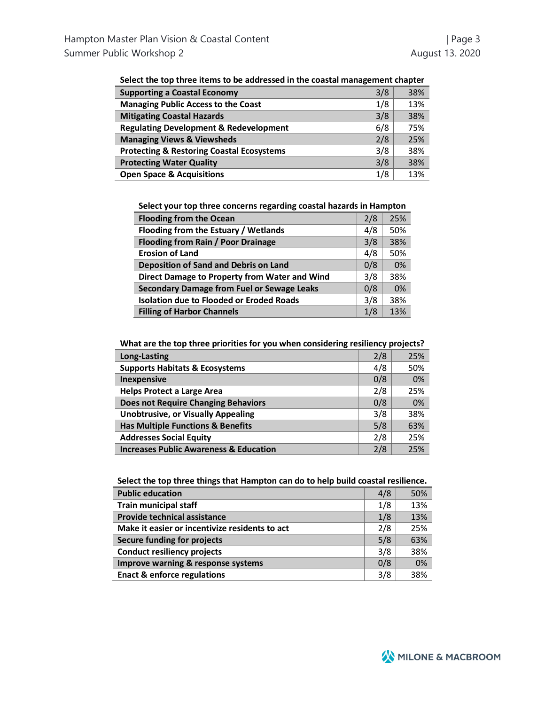| belect the top three items to be addressed in the coastal management chapter |     |     |
|------------------------------------------------------------------------------|-----|-----|
| <b>Supporting a Coastal Economy</b>                                          | 3/8 | 38% |
| <b>Managing Public Access to the Coast</b>                                   | 1/8 | 13% |
| <b>Mitigating Coastal Hazards</b>                                            | 3/8 | 38% |
| <b>Regulating Development &amp; Redevelopment</b>                            | 6/8 | 75% |
| <b>Managing Views &amp; Viewsheds</b>                                        | 2/8 | 25% |
| <b>Protecting &amp; Restoring Coastal Ecosystems</b>                         | 3/8 | 38% |
| <b>Protecting Water Quality</b>                                              | 3/8 | 38% |
| <b>Open Space &amp; Acquisitions</b>                                         | 1/8 | 13% |
|                                                                              |     |     |

| Select the top three items to be addressed in the coastal management chapter |  |  |
|------------------------------------------------------------------------------|--|--|
|------------------------------------------------------------------------------|--|--|

**Select your top three concerns regarding coastal hazards in Hampton**

| <b>Flooding from the Ocean</b>                    | 2/8 | 25% |
|---------------------------------------------------|-----|-----|
| Flooding from the Estuary / Wetlands              | 4/8 | 50% |
| <b>Flooding from Rain / Poor Drainage</b>         | 3/8 | 38% |
| <b>Erosion of Land</b>                            | 4/8 | 50% |
| <b>Deposition of Sand and Debris on Land</b>      | 0/8 | 0%  |
| Direct Damage to Property from Water and Wind     | 3/8 | 38% |
| <b>Secondary Damage from Fuel or Sewage Leaks</b> | 0/8 | 0%  |
| <b>Isolation due to Flooded or Eroded Roads</b>   | 3/8 | 38% |
| <b>Filling of Harbor Channels</b>                 | 1/8 | 13% |

**What are the top three priorities for you when considering resiliency projects?**

| Long-Lasting                                      | 2/8 | 25% |
|---------------------------------------------------|-----|-----|
| <b>Supports Habitats &amp; Ecosystems</b>         | 4/8 | 50% |
| <b>Inexpensive</b>                                | 0/8 | 0%  |
| <b>Helps Protect a Large Area</b>                 | 2/8 | 25% |
| <b>Does not Require Changing Behaviors</b>        | 0/8 | 0%  |
| <b>Unobtrusive, or Visually Appealing</b>         | 3/8 | 38% |
| <b>Has Multiple Functions &amp; Benefits</b>      | 5/8 | 63% |
| <b>Addresses Social Equity</b>                    | 2/8 | 25% |
| <b>Increases Public Awareness &amp; Education</b> | 2/8 | 25% |

|  |  | Select the top three things that Hampton can do to help build coastal resilience. |
|--|--|-----------------------------------------------------------------------------------|
|  |  |                                                                                   |

| <b>Public education</b>                        | 4/8 | 50% |
|------------------------------------------------|-----|-----|
| <b>Train municipal staff</b>                   |     | 13% |
| <b>Provide technical assistance</b>            | 1/8 | 13% |
| Make it easier or incentivize residents to act | 2/8 | 25% |
| Secure funding for projects                    | 5/8 | 63% |
| <b>Conduct resiliency projects</b>             |     | 38% |
| Improve warning & response systems             |     | 0%  |
| <b>Enact &amp; enforce regulations</b>         | 3/8 | 38% |

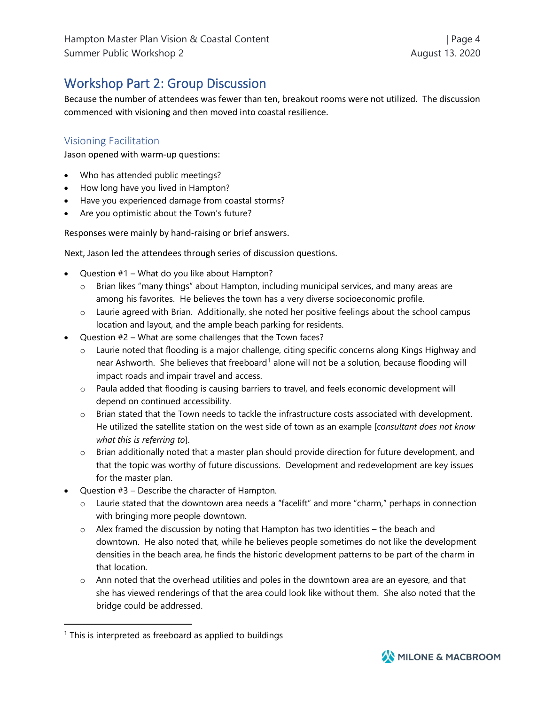# Workshop Part 2: Group Discussion

Because the number of attendees was fewer than ten, breakout rooms were not utilized. The discussion commenced with visioning and then moved into coastal resilience.

## Visioning Facilitation

Jason opened with warm-up questions:

- Who has attended public meetings?
- How long have you lived in Hampton?
- Have you experienced damage from coastal storms?
- Are you optimistic about the Town's future?

Responses were mainly by hand-raising or brief answers.

Next, Jason led the attendees through series of discussion questions.

- Question #1 What do you like about Hampton?
	- o Brian likes "many things" about Hampton, including municipal services, and many areas are among his favorites. He believes the town has a very diverse socioeconomic profile.
	- o Laurie agreed with Brian. Additionally, she noted her positive feelings about the school campus location and layout, and the ample beach parking for residents.
- Question #2 What are some challenges that the Town faces?
	- o Laurie noted that flooding is a major challenge, citing specific concerns along Kings Highway and near Ashworth. She believes that freeboard<sup>[1](#page-11-0)</sup> alone will not be a solution, because flooding will impact roads and impair travel and access.
	- o Paula added that flooding is causing barriers to travel, and feels economic development will depend on continued accessibility.
	- o Brian stated that the Town needs to tackle the infrastructure costs associated with development. He utilized the satellite station on the west side of town as an example [*consultant does not know what this is referring to*].
	- $\circ$  Brian additionally noted that a master plan should provide direction for future development, and that the topic was worthy of future discussions. Development and redevelopment are key issues for the master plan.
- Question  $#3$  Describe the character of Hampton.
	- o Laurie stated that the downtown area needs a "facelift" and more "charm," perhaps in connection with bringing more people downtown.
	- $\circ$  Alex framed the discussion by noting that Hampton has two identities the beach and downtown. He also noted that, while he believes people sometimes do not like the development densities in the beach area, he finds the historic development patterns to be part of the charm in that location.
	- $\circ$  Ann noted that the overhead utilities and poles in the downtown area are an eyesore, and that she has viewed renderings of that the area could look like without them. She also noted that the bridge could be addressed.



<span id="page-11-0"></span> $1$  This is interpreted as freeboard as applied to buildings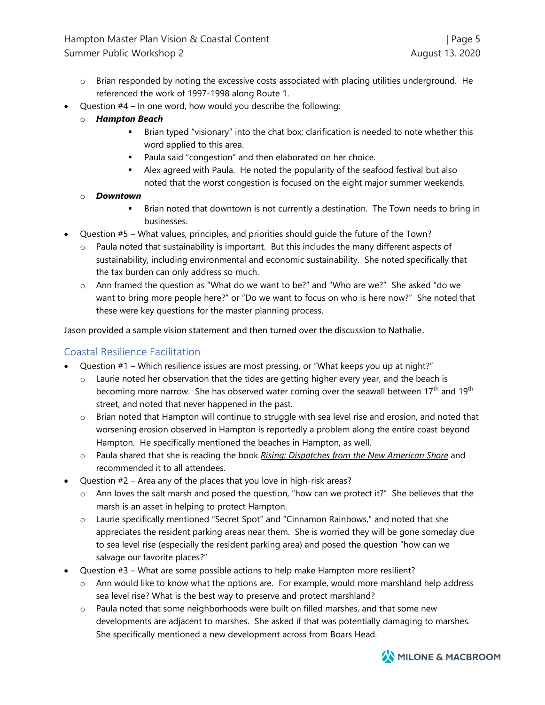- $\circ$  Brian responded by noting the excessive costs associated with placing utilities underground. He referenced the work of 1997-1998 along Route 1.
- Question  $#4 \ln$  one word, how would you describe the following:
	- o *Hampton Beach*
		- Brian typed "visionary" into the chat box; clarification is needed to note whether this word applied to this area.
		- Paula said "congestion" and then elaborated on her choice.
		- Alex agreed with Paula. He noted the popularity of the seafood festival but also noted that the worst congestion is focused on the eight major summer weekends.

### o *Downtown*

- Brian noted that downtown is not currently a destination. The Town needs to bring in businesses.
- Question #5 What values, principles, and priorities should guide the future of the Town?
	- $\circ$  Paula noted that sustainability is important. But this includes the many different aspects of sustainability, including environmental and economic sustainability. She noted specifically that the tax burden can only address so much.
	- o Ann framed the question as "What do we want to be?" and "Who are we?" She asked "do we want to bring more people here?" or "Do we want to focus on who is here now?" She noted that these were key questions for the master planning process.

Jason provided a sample vision statement and then turned over the discussion to Nathalie.

### Coastal Resilience Facilitation

- Question #1 Which resilience issues are most pressing, or "What keeps you up at night?"
	- $\circ$  Laurie noted her observation that the tides are getting higher every year, and the beach is becoming more narrow. She has observed water coming over the seawall between 17<sup>th</sup> and 19<sup>th</sup> street, and noted that never happened in the past.
	- $\circ$  Brian noted that Hampton will continue to struggle with sea level rise and erosion, and noted that worsening erosion observed in Hampton is reportedly a problem along the entire coast beyond Hampton. He specifically mentioned the beaches in Hampton, as well.
	- o Paula shared that she is reading the book *Rising: Dispatches from the New American Shore* and recommended it to all attendees.
- Question #2 Area any of the places that you love in high-risk areas?
	- o Ann loves the salt marsh and posed the question, "how can we protect it?" She believes that the marsh is an asset in helping to protect Hampton.
	- o Laurie specifically mentioned "Secret Spot" and "Cinnamon Rainbows," and noted that she appreciates the resident parking areas near them. She is worried they will be gone someday due to sea level rise (especially the resident parking area) and posed the question "how can we salvage our favorite places?"
- Question #3 What are some possible actions to help make Hampton more resilient?
	- o Ann would like to know what the options are. For example, would more marshland help address sea level rise? What is the best way to preserve and protect marshland?
	- o Paula noted that some neighborhoods were built on filled marshes, and that some new developments are adjacent to marshes. She asked if that was potentially damaging to marshes. She specifically mentioned a new development across from Boars Head.